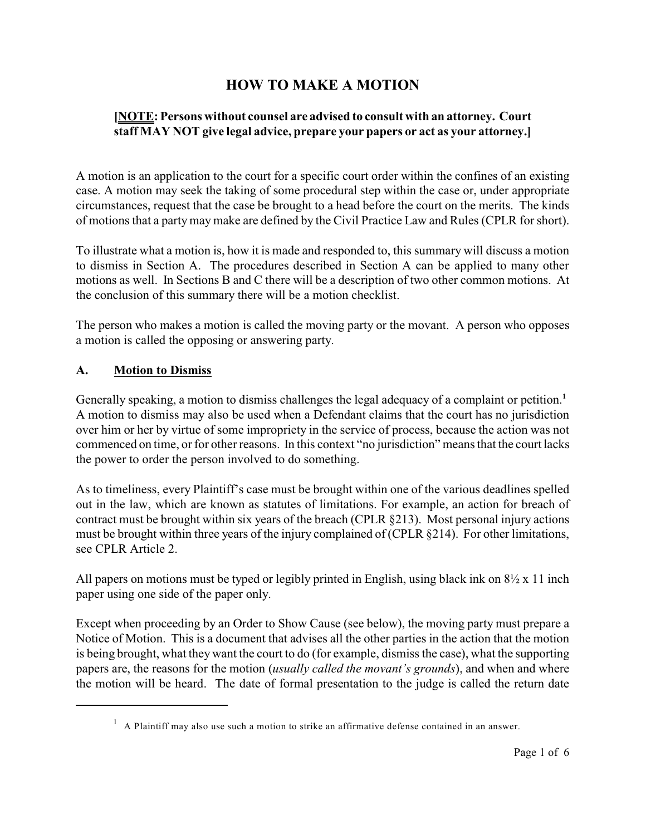# **HOW TO MAKE A MOTION**

### **[NOTE: Persons without counsel are advised to consult with an attorney. Court staff MAY NOT give legal advice, prepare your papers or act as your attorney.]**

A motion is an application to the court for a specific court order within the confines of an existing case. A motion may seek the taking of some procedural step within the case or, under appropriate circumstances, request that the case be brought to a head before the court on the merits. The kinds of motions that a partymay make are defined by the Civil Practice Law and Rules (CPLR for short).

To illustrate what a motion is, how it is made and responded to, this summary will discuss a motion to dismiss in Section A. The procedures described in Section A can be applied to many other motions as well. In Sections B and C there will be a description of two other common motions. At the conclusion of this summary there will be a motion checklist.

The person who makes a motion is called the moving party or the movant. A person who opposes a motion is called the opposing or answering party.

#### **A. Motion to Dismiss**

Generally speaking, a motion to dismiss challenges the legal adequacy of a complaint or petition.**<sup>1</sup>** A motion to dismiss may also be used when a Defendant claims that the court has no jurisdiction over him or her by virtue of some impropriety in the service of process, because the action was not commenced on time, or for other reasons. In this context "no jurisdiction" means that the court lacks the power to order the person involved to do something.

As to timeliness, every Plaintiff's case must be brought within one of the various deadlines spelled out in the law, which are known as statutes of limitations. For example, an action for breach of contract must be brought within six years of the breach (CPLR §213). Most personal injury actions must be brought within three years of the injury complained of (CPLR §214). For other limitations, see CPLR Article 2.

All papers on motions must be typed or legibly printed in English, using black ink on  $8\frac{1}{2} \times 11$  inch paper using one side of the paper only.

Except when proceeding by an Order to Show Cause (see below), the moving party must prepare a Notice of Motion. This is a document that advises all the other parties in the action that the motion is being brought, what they want the court to do (for example, dismiss the case), what the supporting papers are, the reasons for the motion (*usually called the movant's grounds*), and when and where the motion will be heard. The date of formal presentation to the judge is called the return date

 $<sup>1</sup>$  A Plaintiff may also use such a motion to strike an affirmative defense contained in an answer.</sup>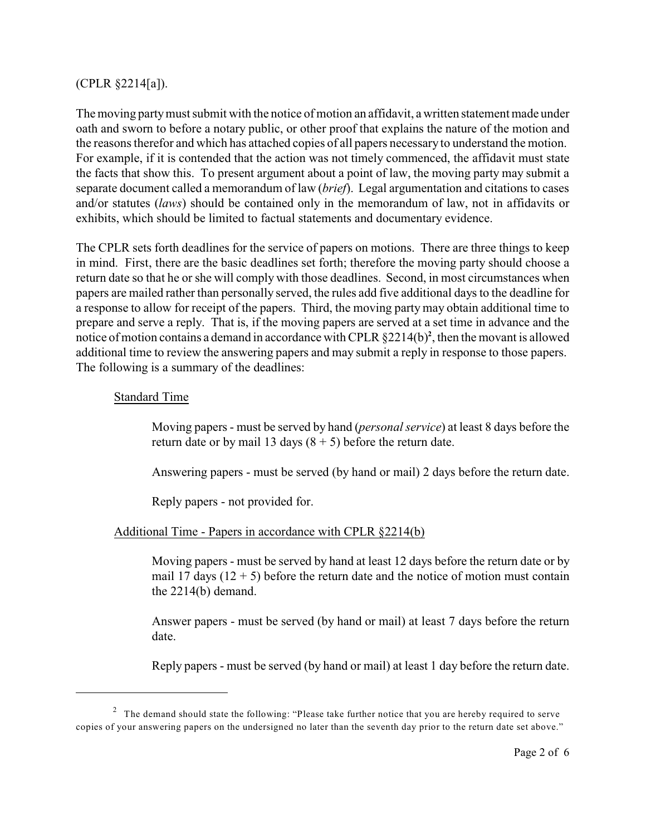#### (CPLR §2214[a]).

The moving partymust submit with the notice of motion an affidavit, a written statement made under oath and sworn to before a notary public, or other proof that explains the nature of the motion and the reasons therefor and which has attached copies of all papers necessary to understand the motion. For example, if it is contended that the action was not timely commenced, the affidavit must state the facts that show this. To present argument about a point of law, the moving party may submit a separate document called a memorandum of law (*brief*). Legal argumentation and citations to cases and/or statutes (*laws*) should be contained only in the memorandum of law, not in affidavits or exhibits, which should be limited to factual statements and documentary evidence.

The CPLR sets forth deadlines for the service of papers on motions. There are three things to keep in mind. First, there are the basic deadlines set forth; therefore the moving party should choose a return date so that he or she will comply with those deadlines. Second, in most circumstances when papers are mailed rather than personally served, the rules add five additional days to the deadline for a response to allow for receipt of the papers. Third, the moving party may obtain additional time to prepare and serve a reply. That is, if the moving papers are served at a set time in advance and the notice of motion contains a demand in accordance with CPLR  $\S2214(b)^2$ , then the movant is allowed additional time to review the answering papers and may submit a reply in response to those papers. The following is a summary of the deadlines:

#### Standard Time

Moving papers - must be served by hand (*personal service*) at least 8 days before the return date or by mail 13 days  $(8 + 5)$  before the return date.

Answering papers - must be served (by hand or mail) 2 days before the return date.

Reply papers - not provided for.

#### Additional Time - Papers in accordance with CPLR §2214(b)

Moving papers - must be served by hand at least 12 days before the return date or by mail 17 days  $(12 + 5)$  before the return date and the notice of motion must contain the 2214(b) demand.

Answer papers - must be served (by hand or mail) at least 7 days before the return date.

Reply papers - must be served (by hand or mail) at least 1 day before the return date.

<sup>&</sup>lt;sup>2</sup> The demand should state the following: "Please take further notice that you are hereby required to serve copies of your answering papers on the undersigned no later than the seventh day prior to the return date set above."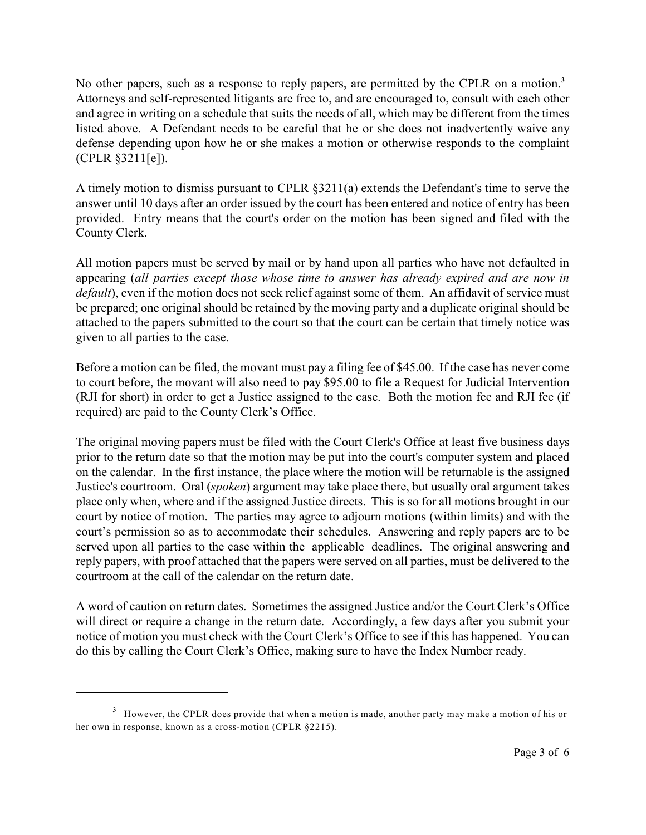No other papers, such as a response to reply papers, are permitted by the CPLR on a motion. **3** Attorneys and self-represented litigants are free to, and are encouraged to, consult with each other and agree in writing on a schedule that suits the needs of all, which may be different from the times listed above. A Defendant needs to be careful that he or she does not inadvertently waive any defense depending upon how he or she makes a motion or otherwise responds to the complaint (CPLR §3211[e]).

A timely motion to dismiss pursuant to CPLR §3211(a) extends the Defendant's time to serve the answer until 10 days after an order issued by the court has been entered and notice of entry has been provided. Entry means that the court's order on the motion has been signed and filed with the County Clerk.

All motion papers must be served by mail or by hand upon all parties who have not defaulted in appearing (*all parties except those whose time to answer has already expired and are now in default*), even if the motion does not seek relief against some of them. An affidavit of service must be prepared; one original should be retained by the moving party and a duplicate original should be attached to the papers submitted to the court so that the court can be certain that timely notice was given to all parties to the case.

Before a motion can be filed, the movant must pay a filing fee of \$45.00. If the case has never come to court before, the movant will also need to pay \$95.00 to file a Request for Judicial Intervention (RJI for short) in order to get a Justice assigned to the case. Both the motion fee and RJI fee (if required) are paid to the County Clerk's Office.

The original moving papers must be filed with the Court Clerk's Office at least five business days prior to the return date so that the motion may be put into the court's computer system and placed on the calendar. In the first instance, the place where the motion will be returnable is the assigned Justice's courtroom. Oral (*spoken*) argument may take place there, but usually oral argument takes place only when, where and if the assigned Justice directs. This is so for all motions brought in our court by notice of motion. The parties may agree to adjourn motions (within limits) and with the court's permission so as to accommodate their schedules. Answering and reply papers are to be served upon all parties to the case within the applicable deadlines. The original answering and reply papers, with proof attached that the papers were served on all parties, must be delivered to the courtroom at the call of the calendar on the return date.

A word of caution on return dates. Sometimes the assigned Justice and/or the Court Clerk's Office will direct or require a change in the return date. Accordingly, a few days after you submit your notice of motion you must check with the Court Clerk's Office to see if this has happened. You can do this by calling the Court Clerk's Office, making sure to have the Index Number ready.

 $3$  However, the CPLR does provide that when a motion is made, another party may make a motion of his or her own in response, known as a cross-motion (CPLR §2215).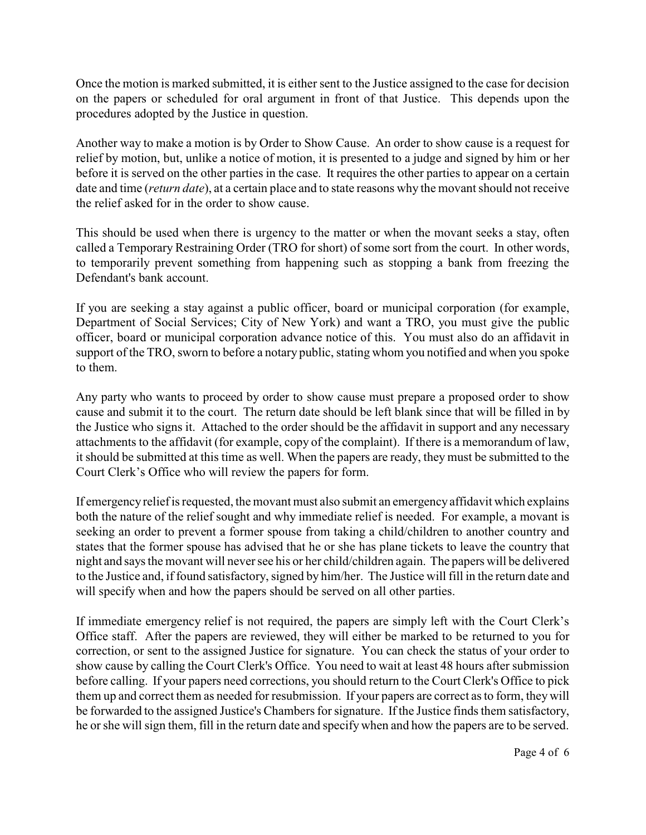Once the motion is marked submitted, it is either sent to the Justice assigned to the case for decision on the papers or scheduled for oral argument in front of that Justice. This depends upon the procedures adopted by the Justice in question.

Another way to make a motion is by Order to Show Cause. An order to show cause is a request for relief by motion, but, unlike a notice of motion, it is presented to a judge and signed by him or her before it is served on the other parties in the case. It requires the other parties to appear on a certain date and time (*return date*), at a certain place and to state reasons why the movant should not receive the relief asked for in the order to show cause.

This should be used when there is urgency to the matter or when the movant seeks a stay, often called a Temporary Restraining Order (TRO for short) of some sort from the court. In other words, to temporarily prevent something from happening such as stopping a bank from freezing the Defendant's bank account.

If you are seeking a stay against a public officer, board or municipal corporation (for example, Department of Social Services; City of New York) and want a TRO, you must give the public officer, board or municipal corporation advance notice of this. You must also do an affidavit in support of the TRO, sworn to before a notary public, stating whom you notified and when you spoke to them.

Any party who wants to proceed by order to show cause must prepare a proposed order to show cause and submit it to the court. The return date should be left blank since that will be filled in by the Justice who signs it. Attached to the order should be the affidavit in support and any necessary attachments to the affidavit (for example, copy of the complaint). If there is a memorandum of law, it should be submitted at this time as well. When the papers are ready, they must be submitted to the Court Clerk's Office who will review the papers for form.

If emergencyreliefis requested, the movant must also submit an emergencyaffidavit which explains both the nature of the relief sought and why immediate relief is needed. For example, a movant is seeking an order to prevent a former spouse from taking a child/children to another country and states that the former spouse has advised that he or she has plane tickets to leave the country that night and says the movant will neversee his or her child/children again. The papers will be delivered to the Justice and, if found satisfactory, signed by him/her. The Justice will fill in the return date and will specify when and how the papers should be served on all other parties.

If immediate emergency relief is not required, the papers are simply left with the Court Clerk's Office staff. After the papers are reviewed, they will either be marked to be returned to you for correction, or sent to the assigned Justice for signature. You can check the status of your order to show cause by calling the Court Clerk's Office. You need to wait at least 48 hours after submission before calling. If your papers need corrections, you should return to the Court Clerk's Office to pick them up and correct them as needed for resubmission. If your papers are correct as to form, they will be forwarded to the assigned Justice's Chambers for signature. If the Justice finds them satisfactory, he or she will sign them, fill in the return date and specify when and how the papers are to be served.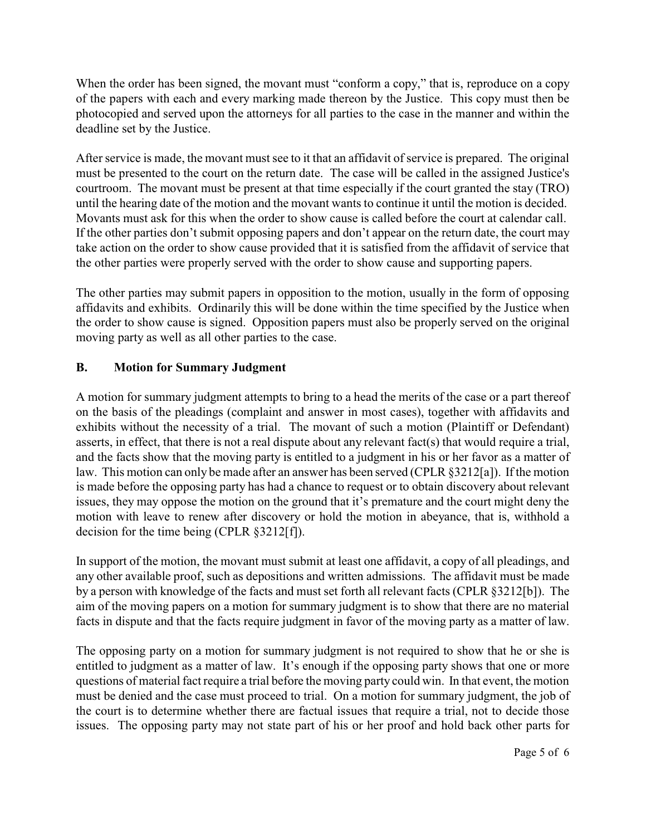When the order has been signed, the movant must "conform a copy," that is, reproduce on a copy of the papers with each and every marking made thereon by the Justice. This copy must then be photocopied and served upon the attorneys for all parties to the case in the manner and within the deadline set by the Justice.

After service is made, the movant must see to it that an affidavit of service is prepared. The original must be presented to the court on the return date. The case will be called in the assigned Justice's courtroom. The movant must be present at that time especially if the court granted the stay (TRO) until the hearing date of the motion and the movant wants to continue it until the motion is decided. Movants must ask for this when the order to show cause is called before the court at calendar call. If the other parties don't submit opposing papers and don't appear on the return date, the court may take action on the order to show cause provided that it is satisfied from the affidavit of service that the other parties were properly served with the order to show cause and supporting papers.

The other parties may submit papers in opposition to the motion, usually in the form of opposing affidavits and exhibits. Ordinarily this will be done within the time specified by the Justice when the order to show cause is signed. Opposition papers must also be properly served on the original moving party as well as all other parties to the case.

### **B. Motion for Summary Judgment**

A motion for summary judgment attempts to bring to a head the merits of the case or a part thereof on the basis of the pleadings (complaint and answer in most cases), together with affidavits and exhibits without the necessity of a trial. The movant of such a motion (Plaintiff or Defendant) asserts, in effect, that there is not a real dispute about any relevant fact(s) that would require a trial, and the facts show that the moving party is entitled to a judgment in his or her favor as a matter of law. This motion can only be made after an answer has been served (CPLR §3212[a]). If the motion is made before the opposing party has had a chance to request or to obtain discovery about relevant issues, they may oppose the motion on the ground that it's premature and the court might deny the motion with leave to renew after discovery or hold the motion in abeyance, that is, withhold a decision for the time being (CPLR §3212[f]).

In support of the motion, the movant must submit at least one affidavit, a copy of all pleadings, and any other available proof, such as depositions and written admissions. The affidavit must be made by a person with knowledge of the facts and must set forth all relevant facts (CPLR §3212[b]). The aim of the moving papers on a motion for summary judgment is to show that there are no material facts in dispute and that the facts require judgment in favor of the moving party as a matter of law.

The opposing party on a motion for summary judgment is not required to show that he or she is entitled to judgment as a matter of law. It's enough if the opposing party shows that one or more questions of material fact require a trial before the moving party could win. In that event, the motion must be denied and the case must proceed to trial. On a motion for summary judgment, the job of the court is to determine whether there are factual issues that require a trial, not to decide those issues. The opposing party may not state part of his or her proof and hold back other parts for